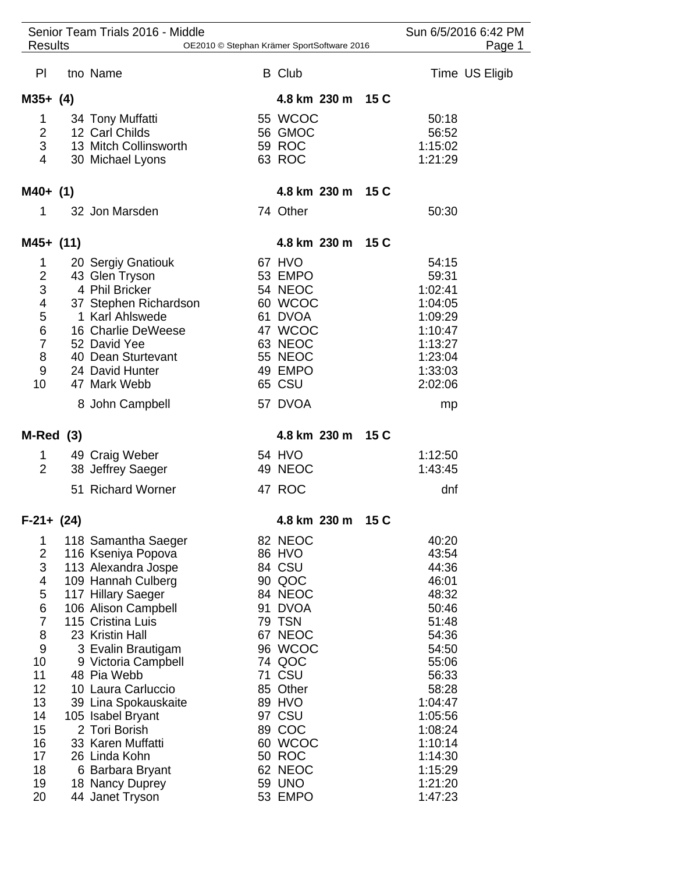| Senior Team Trials 2016 - Middle<br><b>Results</b><br>OE2010 © Stephan Krämer SportSoftware 2016 |  |                                          |  |                   |      |                    | Sun 6/5/2016 6:42 PM<br>Page 1 |  |
|--------------------------------------------------------------------------------------------------|--|------------------------------------------|--|-------------------|------|--------------------|--------------------------------|--|
|                                                                                                  |  |                                          |  |                   |      |                    |                                |  |
| PI                                                                                               |  | tno Name                                 |  | <b>B</b> Club     |      |                    | Time US Eligib                 |  |
| $M35+ (4)$                                                                                       |  |                                          |  | 4.8 km 230 m 15 C |      |                    |                                |  |
| 1                                                                                                |  | 34 Tony Muffatti                         |  | 55 WCOC           |      | 50:18              |                                |  |
| $\overline{2}$                                                                                   |  | 12 Carl Childs                           |  | 56 GMOC           |      | 56:52              |                                |  |
| 3                                                                                                |  | 13 Mitch Collinsworth                    |  | 59 ROC            |      | 1:15:02            |                                |  |
| 4                                                                                                |  | 30 Michael Lyons                         |  | 63 ROC            |      | 1:21:29            |                                |  |
| M40+ (1)                                                                                         |  |                                          |  | 4.8 km 230 m 15 C |      |                    |                                |  |
| 1                                                                                                |  | 32 Jon Marsden                           |  | 74 Other          |      | 50:30              |                                |  |
| M45+ (11)                                                                                        |  |                                          |  | 4.8 km 230 m      | 15 C |                    |                                |  |
|                                                                                                  |  |                                          |  |                   |      |                    |                                |  |
| 1<br>$\overline{\mathbf{c}}$                                                                     |  | 20 Sergiy Gnatiouk<br>43 Glen Tryson     |  | 67 HVO<br>53 EMPO |      | 54:15<br>59:31     |                                |  |
| 3                                                                                                |  | 4 Phil Bricker                           |  | 54 NEOC           |      | 1:02:41            |                                |  |
| $\overline{\mathcal{A}}$                                                                         |  | 37 Stephen Richardson                    |  | 60 WCOC           |      | 1:04:05            |                                |  |
|                                                                                                  |  | 1 Karl Ahlswede                          |  | 61 DVOA           |      | 1:09:29            |                                |  |
| $\frac{5}{6}$                                                                                    |  | 16 Charlie DeWeese                       |  | 47 WCOC           |      | 1:10:47            |                                |  |
| $\overline{7}$                                                                                   |  | 52 David Yee                             |  | 63 NEOC           |      | 1:13:27            |                                |  |
| 8                                                                                                |  | 40 Dean Sturtevant                       |  | 55 NEOC           |      | 1:23:04            |                                |  |
| $9\,$                                                                                            |  | 24 David Hunter                          |  | 49 EMPO           |      | 1:33:03            |                                |  |
| 10                                                                                               |  | 47 Mark Webb                             |  | 65 CSU            |      | 2:02:06            |                                |  |
|                                                                                                  |  | 8 John Campbell                          |  | 57 DVOA           |      | mp                 |                                |  |
| M-Red (3)                                                                                        |  |                                          |  | 4.8 km 230 m      | 15 C |                    |                                |  |
| 1                                                                                                |  | 49 Craig Weber                           |  | 54 HVO            |      | 1:12:50            |                                |  |
| $\overline{2}$                                                                                   |  | 38 Jeffrey Saeger                        |  | 49 NEOC           |      | 1:43:45            |                                |  |
|                                                                                                  |  | 51 Richard Worner                        |  | 47 ROC            |      | dnf                |                                |  |
| $F-21+ (24)$                                                                                     |  |                                          |  | 4.8 km 230 m      | 15 C |                    |                                |  |
| 1                                                                                                |  | 118 Samantha Saeger                      |  | 82 NEOC           |      | 40:20              |                                |  |
| $\overline{2}$                                                                                   |  | 116 Kseniya Popova                       |  | 86 HVO            |      | 43:54              |                                |  |
| 3                                                                                                |  | 113 Alexandra Jospe                      |  | 84 CSU            |      | 44:36              |                                |  |
| 4                                                                                                |  | 109 Hannah Culberg                       |  | 90 QOC            |      | 46:01              |                                |  |
| 5                                                                                                |  | 117 Hillary Saeger                       |  | 84 NEOC           |      | 48:32              |                                |  |
| 6<br>$\overline{7}$                                                                              |  | 106 Alison Campbell<br>115 Cristina Luis |  | 91 DVOA<br>79 TSN |      | 50:46<br>51:48     |                                |  |
| 8                                                                                                |  | 23 Kristin Hall                          |  | 67 NEOC           |      | 54:36              |                                |  |
| 9                                                                                                |  | 3 Evalin Brautigam                       |  | 96 WCOC           |      | 54:50              |                                |  |
| 10                                                                                               |  | 9 Victoria Campbell                      |  | 74 QOC            |      | 55:06              |                                |  |
| 11                                                                                               |  | 48 Pia Webb                              |  | <b>71 CSU</b>     |      | 56:33              |                                |  |
| 12                                                                                               |  | 10 Laura Carluccio                       |  | 85 Other          |      | 58:28              |                                |  |
| 13                                                                                               |  | 39 Lina Spokauskaite                     |  | 89 HVO            |      | 1:04:47            |                                |  |
| 14<br>15                                                                                         |  | 105 Isabel Bryant<br>2 Tori Borish       |  | 97 CSU<br>89 COC  |      | 1:05:56<br>1:08:24 |                                |  |
| 16                                                                                               |  | 33 Karen Muffatti                        |  | 60 WCOC           |      | 1:10:14            |                                |  |
| 17                                                                                               |  | 26 Linda Kohn                            |  | <b>50 ROC</b>     |      | 1:14:30            |                                |  |
| 18                                                                                               |  | 6 Barbara Bryant                         |  | 62 NEOC           |      | 1:15:29            |                                |  |
| 19                                                                                               |  | 18 Nancy Duprey                          |  | <b>59 UNO</b>     |      | 1:21:20            |                                |  |
| 20                                                                                               |  | 44 Janet Tryson                          |  | 53 EMPO           |      | 1:47:23            |                                |  |